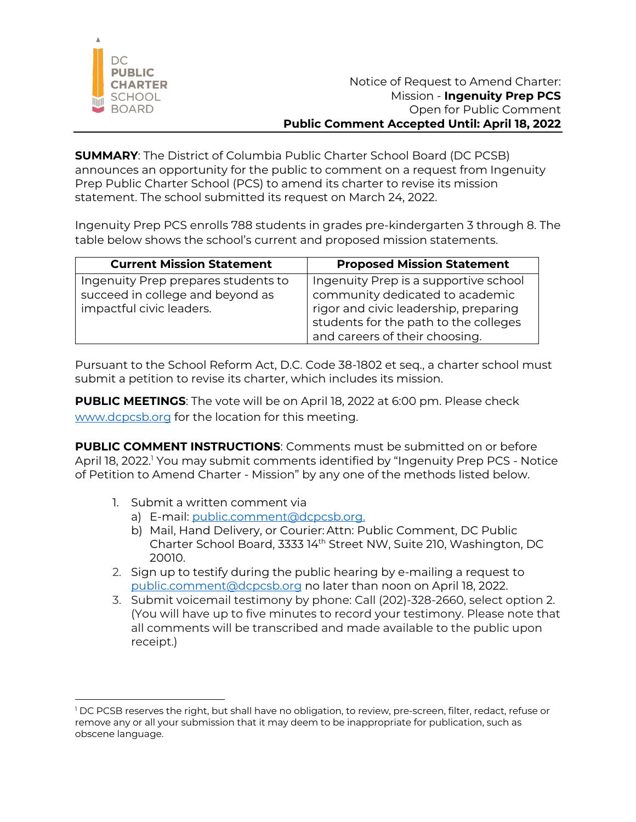

**SUMMARY**: The District of Columbia Public Charter School Board (DC PCSB) announces an opportunity for the public to comment on a request from Ingenuity Prep Public Charter School (PCS) to amend its charter to revise its mission statement. The school submitted its request on March 24, 2022.

Ingenuity Prep PCS enrolls 788 students in grades pre-kindergarten 3 through 8. The table below shows the school's current and proposed mission statements.

| <b>Current Mission Statement</b>                                                                    | <b>Proposed Mission Statement</b>                                                                                                                                                            |
|-----------------------------------------------------------------------------------------------------|----------------------------------------------------------------------------------------------------------------------------------------------------------------------------------------------|
| Ingenuity Prep prepares students to<br>succeed in college and beyond as<br>impactful civic leaders. | Ingenuity Prep is a supportive school<br>community dedicated to academic<br>rigor and civic leadership, preparing<br>students for the path to the colleges<br>and careers of their choosing. |

Pursuant to the School Reform Act, D.C. Code 38-1802 et seq., a charter school must submit a petition to revise its charter, which includes its mission.

**PUBLIC MEETINGS**: The vote will be on April 18, 2022 at 6:00 pm. Please check www.dcpcsb.org for the location for this meeting.

**PUBLIC COMMENT INSTRUCTIONS**: Comments must be submitted on or before April 18, 2022.<sup>1</sup> You may submit comments identified by "Ingenuity Prep PCS - Notice of Petition to Amend Charter - Mission" by any one of the methods listed below.

- 1. Submit a written comment via
	- a) E-mail: public.comment@dcpcsb.org.
	- b) Mail, Hand Delivery, or Courier: Attn: Public Comment, DC Public Charter School Board, 3333 14th Street NW, Suite 210, Washington, DC 20010.
- 2. Sign up to testify during the public hearing by e-mailing a request to public.comment@dcpcsb.org no later than noon on April 18, 2022.
- 3. Submit voicemail testimony by phone: Call (202)-328-2660, select option 2. (You will have up to five minutes to record your testimony. Please note that all comments will be transcribed and made available to the public upon receipt.)

<sup>&</sup>lt;sup>1</sup> DC PCSB reserves the right, but shall have no obligation, to review, pre-screen, filter, redact, refuse or remove any or all your submission that it may deem to be inappropriate for publication, such as obscene language.